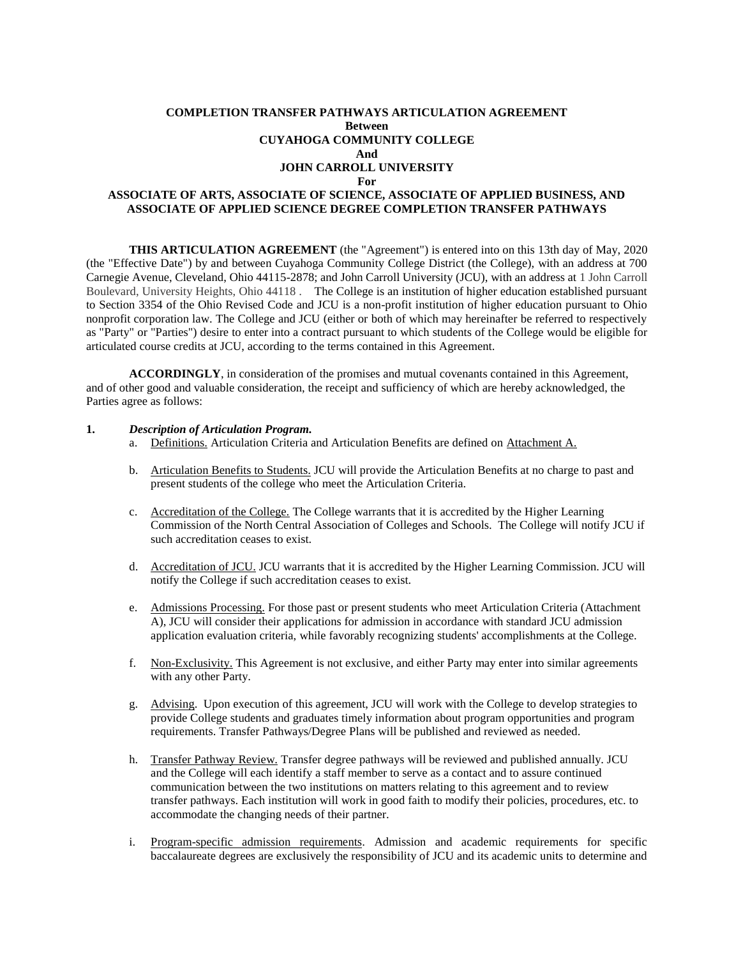## **COMPLETION TRANSFER PATHWAYS ARTICULATION AGREEMENT Between CUYAHOGA COMMUNITY COLLEGE And JOHN CARROLL UNIVERSITY**

#### **For**

## **ASSOCIATE OF ARTS, ASSOCIATE OF SCIENCE, ASSOCIATE OF APPLIED BUSINESS, AND ASSOCIATE OF APPLIED SCIENCE DEGREE COMPLETION TRANSFER PATHWAYS**

**THIS ARTICULATION AGREEMENT** (the "Agreement") is entered into on this 13th day of May, 2020 (the "Effective Date") by and between Cuyahoga Community College District (the College), with an address at 700 Carnegie Avenue, Cleveland, Ohio 44115-2878; and John Carroll University (JCU), with an address at 1 John Carroll Boulevard, University Heights, Ohio 44118 . The College is an institution of higher education established pursuant to Section 3354 of the Ohio Revised Code and JCU is a non-profit institution of higher education pursuant to Ohio nonprofit corporation law. The College and JCU (either or both of which may hereinafter be referred to respectively as "Party" or "Parties") desire to enter into a contract pursuant to which students of the College would be eligible for articulated course credits at JCU, according to the terms contained in this Agreement.

**ACCORDINGLY**, in consideration of the promises and mutual covenants contained in this Agreement, and of other good and valuable consideration, the receipt and sufficiency of which are hereby acknowledged, the Parties agree as follows:

#### **1.** *Description of Articulation Program.*

- a. Definitions. Articulation Criteria and Articulation Benefits are defined on Attachment A.
- b. Articulation Benefits to Students. JCU will provide the Articulation Benefits at no charge to past and present students of the college who meet the Articulation Criteria.
- c. Accreditation of the College. The College warrants that it is accredited by the Higher Learning Commission of the North Central Association of Colleges and Schools. The College will notify JCU if such accreditation ceases to exist.
- d. Accreditation of JCU. JCU warrants that it is accredited by the Higher Learning Commission. JCU will notify the College if such accreditation ceases to exist.
- e. Admissions Processing. For those past or present students who meet Articulation Criteria (Attachment A), JCU will consider their applications for admission in accordance with standard JCU admission application evaluation criteria, while favorably recognizing students' accomplishments at the College.
- f. Non-Exclusivity. This Agreement is not exclusive, and either Party may enter into similar agreements with any other Party.
- g. Advising. Upon execution of this agreement, JCU will work with the College to develop strategies to provide College students and graduates timely information about program opportunities and program requirements. Transfer Pathways/Degree Plans will be published and reviewed as needed.
- h. Transfer Pathway Review. Transfer degree pathways will be reviewed and published annually. JCU and the College will each identify a staff member to serve as a contact and to assure continued communication between the two institutions on matters relating to this agreement and to review transfer pathways. Each institution will work in good faith to modify their policies, procedures, etc. to accommodate the changing needs of their partner.
- i. Program-specific admission requirements. Admission and academic requirements for specific baccalaureate degrees are exclusively the responsibility of JCU and its academic units to determine and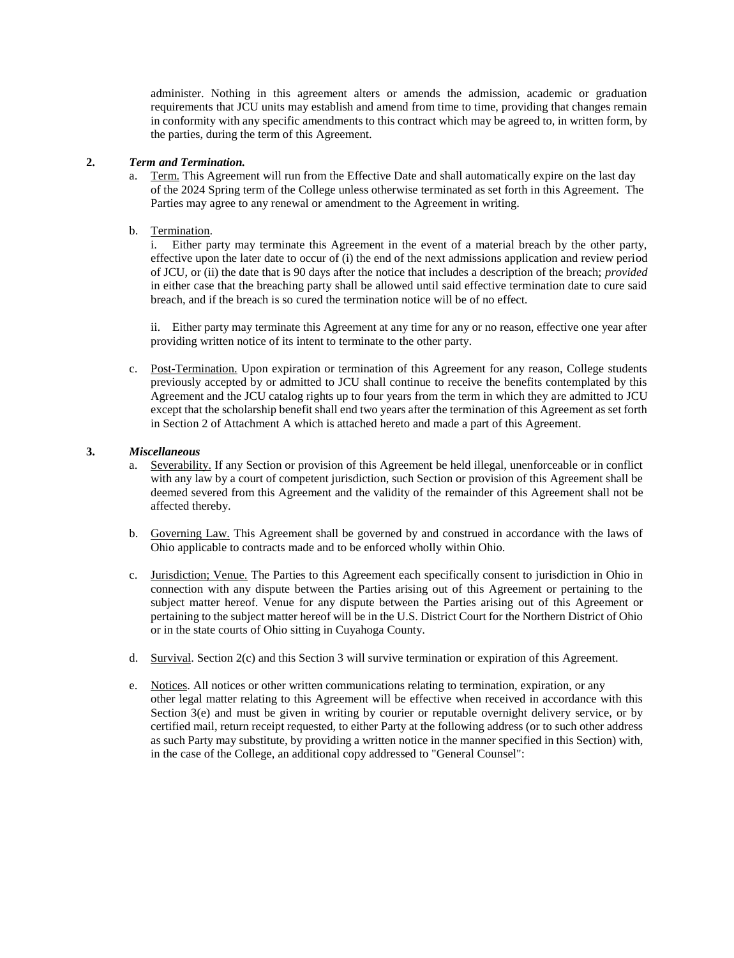administer. Nothing in this agreement alters or amends the admission, academic or graduation requirements that JCU units may establish and amend from time to time, providing that changes remain in conformity with any specific amendments to this contract which may be agreed to, in written form, by the parties, during the term of this Agreement.

## **2.** *Term and Termination.*

- Term. This Agreement will run from the Effective Date and shall automatically expire on the last day of the 2024 Spring term of the College unless otherwise terminated as set forth in this Agreement. The Parties may agree to any renewal or amendment to the Agreement in writing.
- b. Termination.

i. Either party may terminate this Agreement in the event of a material breach by the other party, effective upon the later date to occur of (i) the end of the next admissions application and review period of JCU, or (ii) the date that is 90 days after the notice that includes a description of the breach; *provided* in either case that the breaching party shall be allowed until said effective termination date to cure said breach, and if the breach is so cured the termination notice will be of no effect.

ii. Either party may terminate this Agreement at any time for any or no reason, effective one year after providing written notice of its intent to terminate to the other party.

c. Post-Termination. Upon expiration or termination of this Agreement for any reason, College students previously accepted by or admitted to JCU shall continue to receive the benefits contemplated by this Agreement and the JCU catalog rights up to four years from the term in which they are admitted to JCU except that the scholarship benefit shall end two years after the termination of this Agreement as set forth in Section 2 of Attachment A which is attached hereto and made a part of this Agreement.

## **3.** *Miscellaneous*

- a. Severability. If any Section or provision of this Agreement be held illegal, unenforceable or in conflict with any law by a court of competent jurisdiction, such Section or provision of this Agreement shall be deemed severed from this Agreement and the validity of the remainder of this Agreement shall not be affected thereby.
- b. Governing Law. This Agreement shall be governed by and construed in accordance with the laws of Ohio applicable to contracts made and to be enforced wholly within Ohio.
- c. Jurisdiction; Venue. The Parties to this Agreement each specifically consent to jurisdiction in Ohio in connection with any dispute between the Parties arising out of this Agreement or pertaining to the subject matter hereof. Venue for any dispute between the Parties arising out of this Agreement or pertaining to the subject matter hereof will be in the U.S. District Court for the Northern District of Ohio or in the state courts of Ohio sitting in Cuyahoga County.
- d. Survival. Section 2(c) and this Section 3 will survive termination or expiration of this Agreement.
- e. Notices. All notices or other written communications relating to termination, expiration, or any other legal matter relating to this Agreement will be effective when received in accordance with this Section 3(e) and must be given in writing by courier or reputable overnight delivery service, or by certified mail, return receipt requested, to either Party at the following address (or to such other address as such Party may substitute, by providing a written notice in the manner specified in this Section) with, in the case of the College, an additional copy addressed to "General Counsel":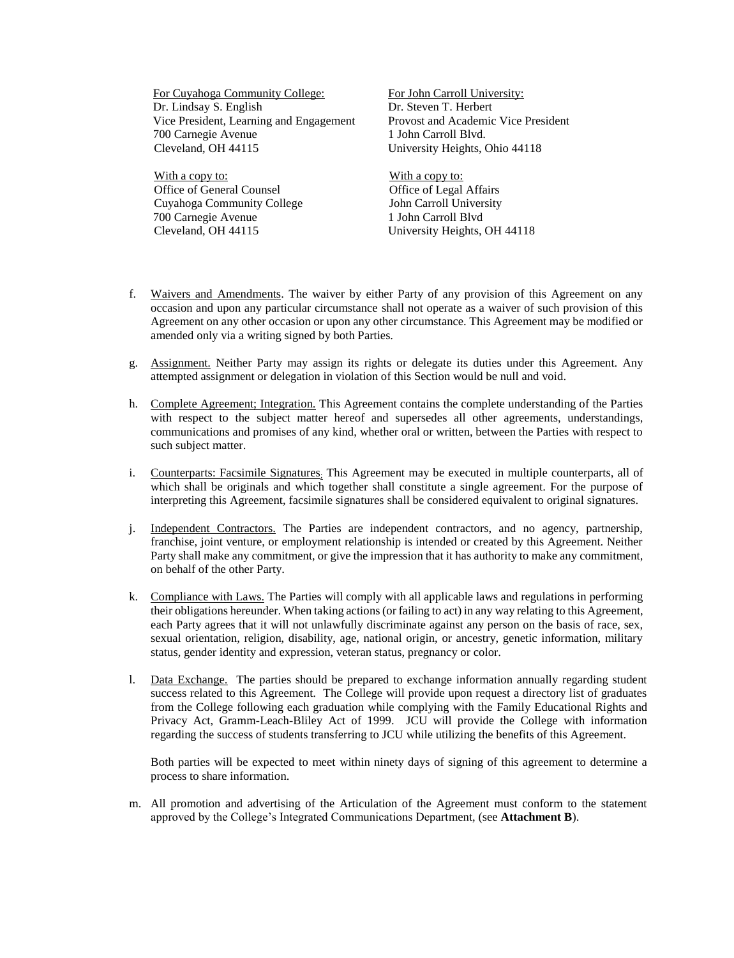For Cuyahoga Community College: Dr. Lindsay S. English Vice President, Learning and Engagement 700 Carnegie Avenue Cleveland, OH 44115

With a copy to: Office of General Counsel Cuyahoga Community College 700 Carnegie Avenue Cleveland, OH 44115

For John Carroll University: Dr. Steven T. Herbert Provost and Academic Vice President 1 John Carroll Blvd. University Heights, Ohio 44118

With a copy to: Office of Legal Affairs John Carroll University 1 John Carroll Blvd University Heights, OH 44118

- f. Waivers and Amendments. The waiver by either Party of any provision of this Agreement on any occasion and upon any particular circumstance shall not operate as a waiver of such provision of this Agreement on any other occasion or upon any other circumstance. This Agreement may be modified or amended only via a writing signed by both Parties.
- g. Assignment. Neither Party may assign its rights or delegate its duties under this Agreement. Any attempted assignment or delegation in violation of this Section would be null and void.
- h. Complete Agreement; Integration. This Agreement contains the complete understanding of the Parties with respect to the subject matter hereof and supersedes all other agreements, understandings, communications and promises of any kind, whether oral or written, between the Parties with respect to such subject matter.
- i. Counterparts: Facsimile Signatures; This Agreement may be executed in multiple counterparts, all of which shall be originals and which together shall constitute a single agreement. For the purpose of interpreting this Agreement, facsimile signatures shall be considered equivalent to original signatures.
- j. Independent Contractors. The Parties are independent contractors, and no agency, partnership, franchise, joint venture, or employment relationship is intended or created by this Agreement. Neither Party shall make any commitment, or give the impression that it has authority to make any commitment, on behalf of the other Party.
- k. Compliance with Laws. The Parties will comply with all applicable laws and regulations in performing their obligations hereunder. When taking actions (or failing to act) in any way relating to this Agreement, each Party agrees that it will not unlawfully discriminate against any person on the basis of race, sex, sexual orientation, religion, disability, age, national origin, or ancestry, genetic information, military status, gender identity and expression, veteran status, pregnancy or color.
- l. Data Exchange. The parties should be prepared to exchange information annually regarding student success related to this Agreement. The College will provide upon request a directory list of graduates from the College following each graduation while complying with the Family Educational Rights and Privacy Act, Gramm-Leach-Bliley Act of 1999. JCU will provide the College with information regarding the success of students transferring to JCU while utilizing the benefits of this Agreement.

Both parties will be expected to meet within ninety days of signing of this agreement to determine a process to share information.

m. All promotion and advertising of the Articulation of the Agreement must conform to the statement approved by the College's Integrated Communications Department, (see **Attachment B**).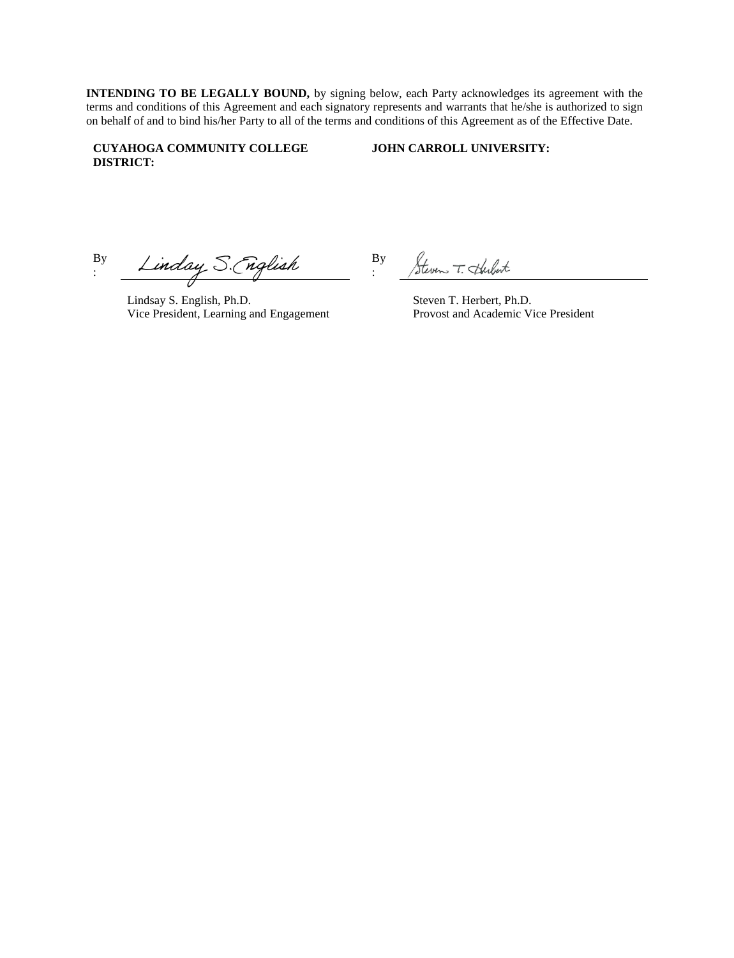**INTENDING TO BE LEGALLY BOUND,** by signing below, each Party acknowledges its agreement with the terms and conditions of this Agreement and each signatory represents and warrants that he/she is authorized to sign on behalf of and to bind his/her Party to all of the terms and conditions of this Agreement as of the Effective Date.

:

## **CUYAHOGA COMMUNITY COLLEGE DISTRICT:**

**JOHN CARROLL UNIVERSITY:**

Linday S. (nglish By :

Lindsay S. English, Ph.D. Vice President, Learning and Engagement

Steven T. Herbert By

Steven T. Herbert, Ph.D. Provost and Academic Vice President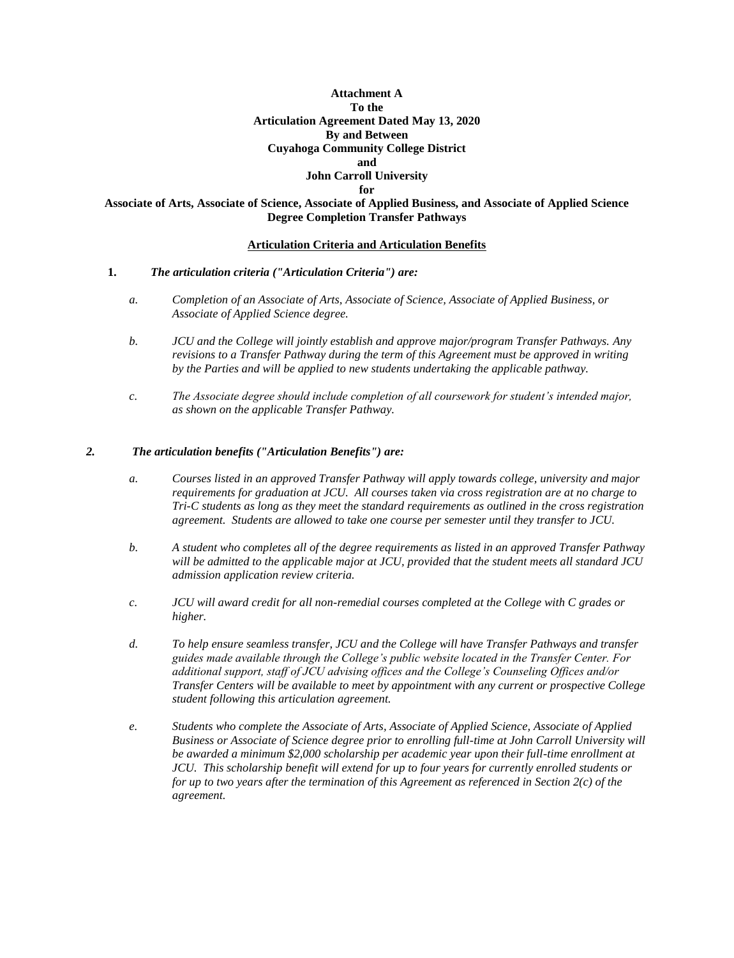# **Attachment A To the Articulation Agreement Dated May 13, 2020 By and Between Cuyahoga Community College District and John Carroll University**

**for** 

## **Associate of Arts, Associate of Science, Associate of Applied Business, and Associate of Applied Science Degree Completion Transfer Pathways**

## **Articulation Criteria and Articulation Benefits**

## **1.** *The articulation criteria ("Articulation Criteria") are:*

- *a. Completion of an Associate of Arts, Associate of Science, Associate of Applied Business, or Associate of Applied Science degree.*
- *b. JCU and the College will jointly establish and approve major/program Transfer Pathways. Any revisions to a Transfer Pathway during the term of this Agreement must be approved in writing by the Parties and will be applied to new students undertaking the applicable pathway.*
- *c. The Associate degree should include completion of all coursework for student's intended major, as shown on the applicable Transfer Pathway.*

## *2. The articulation benefits ("Articulation Benefits") are:*

- *a. Courses listed in an approved Transfer Pathway will apply towards college, university and major requirements for graduation at JCU. All courses taken via cross registration are at no charge to Tri-C students as long as they meet the standard requirements as outlined in the cross registration agreement. Students are allowed to take one course per semester until they transfer to JCU.*
- *b. A student who completes all of the degree requirements as listed in an approved Transfer Pathway will be admitted to the applicable major at JCU, provided that the student meets all standard JCU admission application review criteria.*
- *c. JCU will award credit for all non-remedial courses completed at the College with C grades or higher.*
- *d. To help ensure seamless transfer, JCU and the College will have Transfer Pathways and transfer guides made available through the College's public website located in the Transfer Center. For additional support, staff of JCU advising offices and the College's Counseling Offices and/or Transfer Centers will be available to meet by appointment with any current or prospective College student following this articulation agreement.*
- *e. Students who complete the Associate of Arts, Associate of Applied Science, Associate of Applied Business or Associate of Science degree prior to enrolling full-time at John Carroll University will be awarded a minimum \$2,000 scholarship per academic year upon their full-time enrollment at JCU. This scholarship benefit will extend for up to four years for currently enrolled students or for up to two years after the termination of this Agreement as referenced in Section 2(c) of the agreement.*